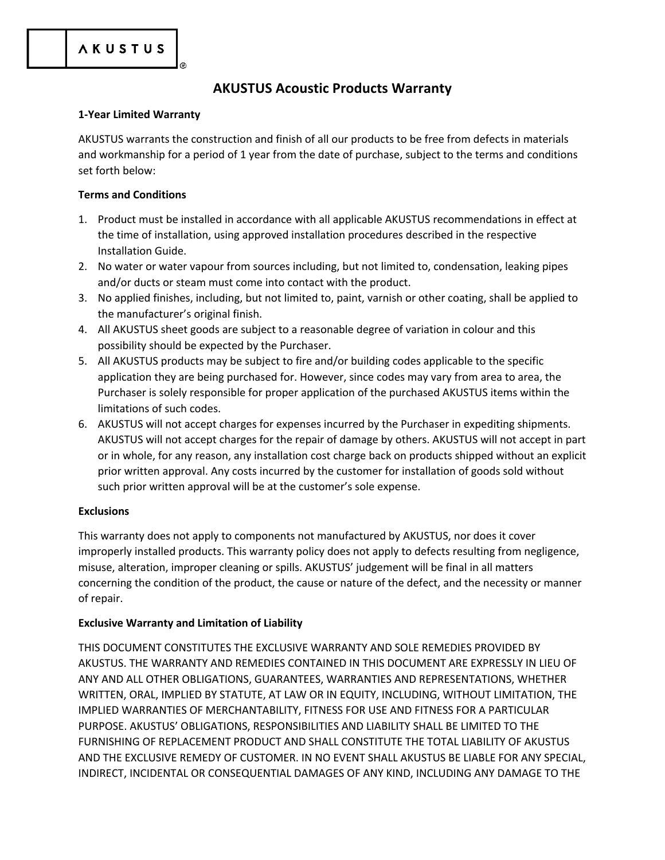# **AKUSTUS Acoustic Products Warranty**

### **1-Year Limited Warranty**

AKUSTUS warrants the construction and finish of all our products to be free from defects in materials and workmanship for a period of 1 year from the date of purchase, subject to the terms and conditions set forth below:

## **Terms and Conditions**

- 1. Product must be installed in accordance with all applicable AKUSTUS recommendations in effect at the time of installation, using approved installation procedures described in the respective Installation Guide.
- 2. No water or water vapour from sources including, but not limited to, condensation, leaking pipes and/or ducts or steam must come into contact with the product.
- 3. No applied finishes, including, but not limited to, paint, varnish or other coating, shall be applied to the manufacturer's original finish.
- 4. All AKUSTUS sheet goods are subject to a reasonable degree of variation in colour and this possibility should be expected by the Purchaser.
- 5. All AKUSTUS products may be subject to fire and/or building codes applicable to the specific application they are being purchased for. However, since codes may vary from area to area, the Purchaser is solely responsible for proper application of the purchased AKUSTUS items within the limitations of such codes.
- 6. AKUSTUS will not accept charges for expenses incurred by the Purchaser in expediting shipments. AKUSTUS will not accept charges for the repair of damage by others. AKUSTUS will not accept in part or in whole, for any reason, any installation cost charge back on products shipped without an explicit prior written approval. Any costs incurred by the customer for installation of goods sold without such prior written approval will be at the customer's sole expense.

## **Exclusions**

This warranty does not apply to components not manufactured by AKUSTUS, nor does it cover improperly installed products. This warranty policy does not apply to defects resulting from negligence, misuse, alteration, improper cleaning or spills. AKUSTUS' judgement will be final in all matters concerning the condition of the product, the cause or nature of the defect, and the necessity or manner of repair.

## **Exclusive Warranty and Limitation of Liability**

THIS DOCUMENT CONSTITUTES THE EXCLUSIVE WARRANTY AND SOLE REMEDIES PROVIDED BY AKUSTUS. THE WARRANTY AND REMEDIES CONTAINED IN THIS DOCUMENT ARE EXPRESSLY IN LIEU OF ANY AND ALL OTHER OBLIGATIONS, GUARANTEES, WARRANTIES AND REPRESENTATIONS, WHETHER WRITTEN, ORAL, IMPLIED BY STATUTE, AT LAW OR IN EQUITY, INCLUDING, WITHOUT LIMITATION, THE IMPLIED WARRANTIES OF MERCHANTABILITY, FITNESS FOR USE AND FITNESS FOR A PARTICULAR PURPOSE. AKUSTUS' OBLIGATIONS, RESPONSIBILITIES AND LIABILITY SHALL BE LIMITED TO THE FURNISHING OF REPLACEMENT PRODUCT AND SHALL CONSTITUTE THE TOTAL LIABILITY OF AKUSTUS AND THE EXCLUSIVE REMEDY OF CUSTOMER. IN NO EVENT SHALL AKUSTUS BE LIABLE FOR ANY SPECIAL, INDIRECT, INCIDENTAL OR CONSEQUENTIAL DAMAGES OF ANY KIND, INCLUDING ANY DAMAGE TO THE